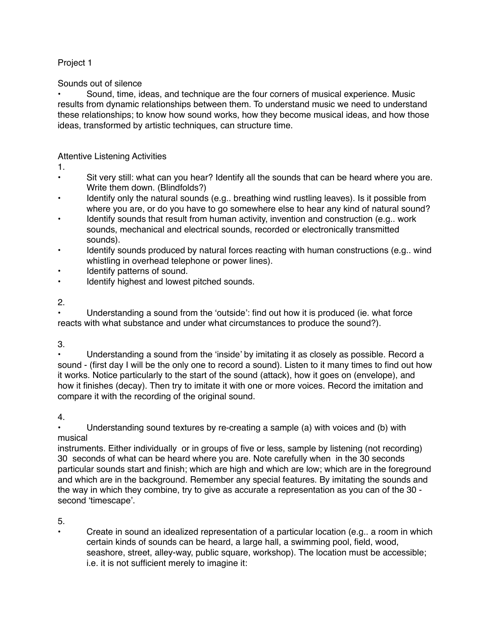## Project 1

Sounds out of silence

• Sound, time, ideas, and technique are the four corners of musical experience. Music results from dynamic relationships between them. To understand music we need to understand these relationships; to know how sound works, how they become musical ideas, and how those ideas, transformed by artistic techniques, can structure time.

## Attentive Listening Activities

1.

- Sit very still: what can you hear? Identify all the sounds that can be heard where you are. Write them down. (Blindfolds?)
- Identify only the natural sounds (e.g.. breathing wind rustling leaves). Is it possible from where you are, or do you have to go somewhere else to hear any kind of natural sound?
- Identify sounds that result from human activity, invention and construction (e.g., work sounds, mechanical and electrical sounds, recorded or electronically transmitted sounds).
- Identify sounds produced by natural forces reacting with human constructions (e.g.. wind whistling in overhead telephone or power lines).
- Identify patterns of sound.
- Identify highest and lowest pitched sounds.

2.

Understanding a sound from the 'outside': find out how it is produced (ie. what force reacts with what substance and under what circumstances to produce the sound?).

3.

• Understanding a sound from the 'inside' by imitating it as closely as possible. Record a sound - (first day I will be the only one to record a sound). Listen to it many times to find out how it works. Notice particularly to the start of the sound (attack), how it goes on (envelope), and how it finishes (decay). Then try to imitate it with one or more voices. Record the imitation and compare it with the recording of the original sound.

4.

• Understanding sound textures by re-creating a sample (a) with voices and (b) with musical

instruments. Either individually or in groups of five or less, sample by listening (not recording) 30 seconds of what can be heard where you are. Note carefully when in the 30 seconds particular sounds start and finish; which are high and which are low; which are in the foreground and which are in the background. Remember any special features. By imitating the sounds and the way in which they combine, try to give as accurate a representation as you can of the 30 second 'timescape'.

5.

• Create in sound an idealized representation of a particular location (e.g.. a room in which certain kinds of sounds can be heard, a large hall, a swimming pool, field, wood, seashore, street, alley-way, public square, workshop). The location must be accessible; i.e. it is not sufficient merely to imagine it: